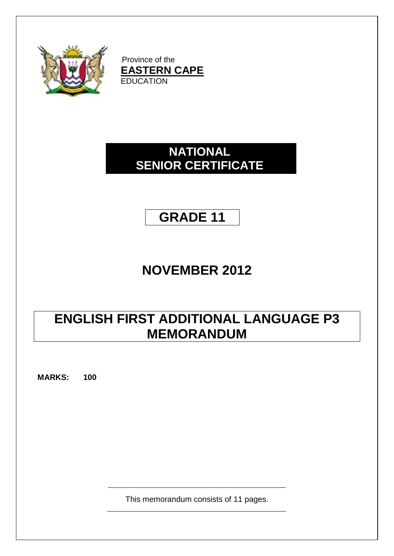

Province of the **EASTERN CAPE EDUCATION** 

# **NATIONAL SENIOR CERTIFICATE**

# **GRADE 11**

# **NOVEMBER 2012**

# **ENGLISH FIRST ADDITIONAL LANGUAGE P3 MEMORANDUM**

**MARKS: 100**

This memorandum consists of 11 pages.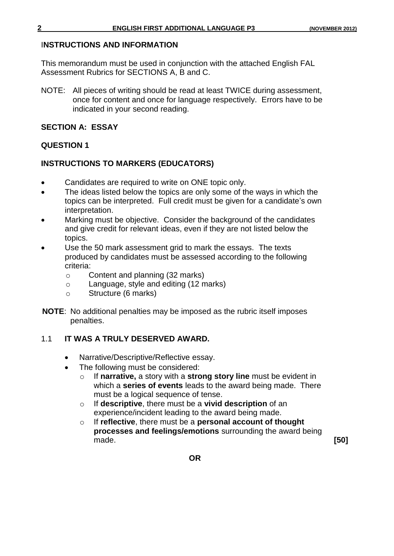### I**NSTRUCTIONS AND INFORMATION**

This memorandum must be used in conjunction with the attached English FAL Assessment Rubrics for SECTIONS A, B and C.

NOTE: All pieces of writing should be read at least TWICE during assessment, once for content and once for language respectively. Errors have to be indicated in your second reading.

# **SECTION A: ESSAY**

# **QUESTION 1**

# **INSTRUCTIONS TO MARKERS (EDUCATORS)**

- Candidates are required to write on ONE topic only.
- The ideas listed below the topics are only some of the ways in which the topics can be interpreted. Full credit must be given for a candidate's own interpretation.
- Marking must be objective. Consider the background of the candidates and give credit for relevant ideas, even if they are not listed below the topics.
- Use the 50 mark assessment grid to mark the essays. The texts produced by candidates must be assessed according to the following criteria:
	- o Content and planning (32 marks)
	- o Language, style and editing (12 marks)
	- o Structure (6 marks)
- **NOTE**: No additional penalties may be imposed as the rubric itself imposes penalties.

# 1.1 **IT WAS A TRULY DESERVED AWARD.**

- Narrative/Descriptive/Reflective essay.
- The following must be considered:
	- o If **narrative,** a story with a **strong story line** must be evident in which a **series of events** leads to the award being made. There must be a logical sequence of tense.
	- o If **descriptive**, there must be a **vivid description** of an experience/incident leading to the award being made.
	- o If **reflective**, there must be a **personal account of thought processes and feelings/emotions** surrounding the award being made. **[50]**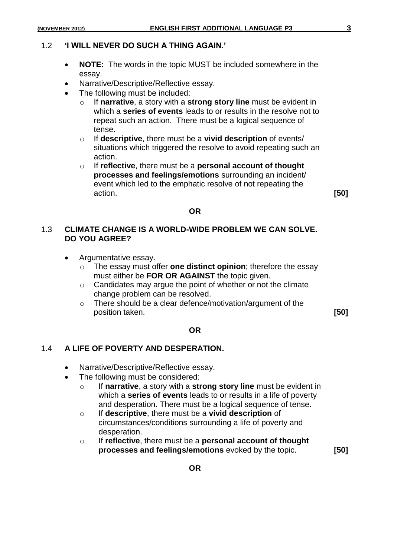#### 1.2 **'I WILL NEVER DO SUCH A THING AGAIN.'**

- **NOTE:** The words in the topic MUST be included somewhere in the essay.
- Narrative/Descriptive/Reflective essay.
- The following must be included:
	- o If **narrative**, a story with a **strong story line** must be evident in which a **series of events** leads to or results in the resolve not to repeat such an action. There must be a logical sequence of tense.
	- o If **descriptive**, there must be a **vivid description** of events/ situations which triggered the resolve to avoid repeating such an action.
	- o If **reflective**, there must be a **personal account of thought processes and feelings/emotions** surrounding an incident/ event which led to the emphatic resolve of not repeating the action. **[50]**

#### **OR**

# 1.3 **CLIMATE CHANGE IS A WORLD-WIDE PROBLEM WE CAN SOLVE. DO YOU AGREE?**

- Argumentative essay.
	- o The essay must offer **one distinct opinion**; therefore the essay must either be **FOR OR AGAINST** the topic given.
	- o Candidates may argue the point of whether or not the climate change problem can be resolved.
	- o There should be a clear defence/motivation/argument of the position taken. **[50]**

#### **OR**

### 1.4 **A LIFE OF POVERTY AND DESPERATION.**

- Narrative/Descriptive/Reflective essay.
- The following must be considered:
	- o If **narrative**, a story with a **strong story line** must be evident in which a **series of events** leads to or results in a life of poverty and desperation. There must be a logical sequence of tense.
	- o If **descriptive**, there must be a **vivid description** of circumstances/conditions surrounding a life of poverty and desperation.
	- o If **reflective**, there must be a **personal account of thought processes and feelings/emotions** evoked by the topic. **[50]**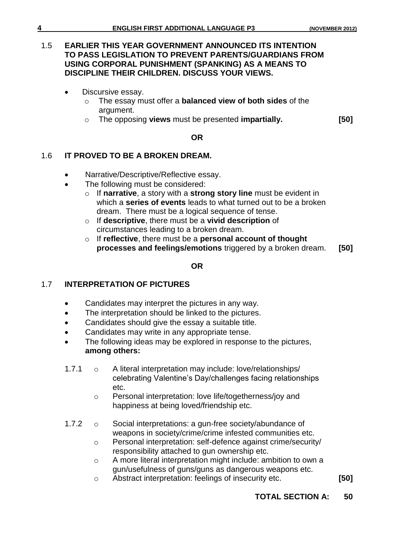# 1.5 **EARLIER THIS YEAR GOVERNMENT ANNOUNCED ITS INTENTION TO PASS LEGISLATION TO PREVENT PARENTS/GUARDIANS FROM USING CORPORAL PUNISHMENT (SPANKING) AS A MEANS TO DISCIPLINE THEIR CHILDREN. DISCUSS YOUR VIEWS.**

- Discursive essay.
	- o The essay must offer a **balanced view of both sides** of the argument.
	- o The opposing **views** must be presented **impartially. [50]**

## **OR**

# 1.6 **IT PROVED TO BE A BROKEN DREAM.**

- Narrative/Descriptive/Reflective essay.
- The following must be considered:
	- o If **narrative**, a story with a **strong story line** must be evident in which a **series of events** leads to what turned out to be a broken dream. There must be a logical sequence of tense.
	- o If **descriptive**, there must be a **vivid description** of circumstances leading to a broken dream.
	- o If **reflective**, there must be a **personal account of thought processes and feelings/emotions** triggered by a broken dream. **[50]**

### **OR**

# 1.7 **INTERPRETATION OF PICTURES**

- Candidates may interpret the pictures in any way.
- The interpretation should be linked to the pictures.
- Candidates should give the essay a suitable title.
- Candidates may write in any appropriate tense.
- The following ideas may be explored in response to the pictures, **among others:**
- 1.7.1 o A literal interpretation may include: love/relationships/ celebrating Valentine's Day/challenges facing relationships etc.
	- o Personal interpretation: love life/togetherness/joy and happiness at being loved/friendship etc.
- 1.7.2 o Social interpretations: a gun-free society/abundance of weapons in society/crime/crime infested communities etc.
	- o Personal interpretation: self-defence against crime/security/ responsibility attached to gun ownership etc.
	- o A more literal interpretation might include: ambition to own a gun/usefulness of guns/guns as dangerous weapons etc.
	- o Abstract interpretation: feelings of insecurity etc. **[50]**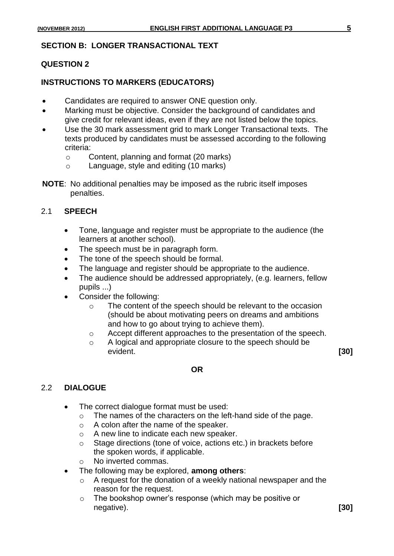### **SECTION B: LONGER TRANSACTIONAL TEXT**

#### **QUESTION 2**

#### **INSTRUCTIONS TO MARKERS (EDUCATORS)**

- Candidates are required to answer ONE question only.
- Marking must be objective. Consider the background of candidates and give credit for relevant ideas, even if they are not listed below the topics.
- Use the 30 mark assessment grid to mark Longer Transactional texts. The texts produced by candidates must be assessed according to the following criteria:
	- o Content, planning and format (20 marks)
	- o Language, style and editing (10 marks)
- **NOTE**: No additional penalties may be imposed as the rubric itself imposes penalties.

#### 2.1 **SPEECH**

- Tone, language and register must be appropriate to the audience (the learners at another school).
- The speech must be in paragraph form.
- The tone of the speech should be formal.
- The language and register should be appropriate to the audience.
- The audience should be addressed appropriately, (e.g. learners, fellow pupils ...)
- Consider the following:
	- o The content of the speech should be relevant to the occasion (should be about motivating peers on dreams and ambitions and how to go about trying to achieve them).
	- o Accept different approaches to the presentation of the speech.
	- o A logical and appropriate closure to the speech should be evident. **[30]**

### 2.2 **DIALOGUE**

- The correct dialogue format must be used:
	- o The names of the characters on the left-hand side of the page.

**OR**

- o A colon after the name of the speaker.
- o A new line to indicate each new speaker.
- o Stage directions (tone of voice, actions etc.) in brackets before the spoken words, if applicable.
- o No inverted commas.
- The following may be explored, **among others**:
	- o A request for the donation of a weekly national newspaper and the reason for the request.
	- o The bookshop owner's response (which may be positive or negative). **[30]**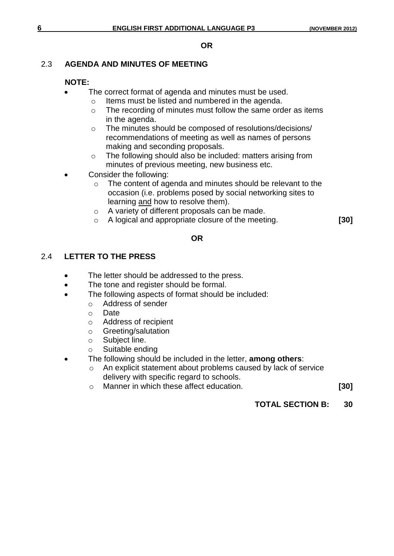#### **OR**

# 2.3 **AGENDA AND MINUTES OF MEETING**

# **NOTE:**

- The correct format of agenda and minutes must be used.
	- o Items must be listed and numbered in the agenda.
	- o The recording of minutes must follow the same order as items in the agenda.
	- o The minutes should be composed of resolutions/decisions/ recommendations of meeting as well as names of persons making and seconding proposals.
	- o The following should also be included: matters arising from minutes of previous meeting, new business etc.
- Consider the following:
	- o The content of agenda and minutes should be relevant to the occasion (i.e. problems posed by social networking sites to learning and how to resolve them).
	- o A variety of different proposals can be made.
	- o A logical and appropriate closure of the meeting. **[30]**

### **OR**

# 2.4 **LETTER TO THE PRESS**

- The letter should be addressed to the press.
- The tone and register should be formal.
- The following aspects of format should be included:
	- o Address of sender
	- o Date
	- o Address of recipient
	- o Greeting/salutation
	- o Subject line.
	- o Suitable ending
- The following should be included in the letter, **among others**:
	- o An explicit statement about problems caused by lack of service delivery with specific regard to schools.
	- o Manner in which these affect education. **[30]**
		-

# **TOTAL SECTION B: 30**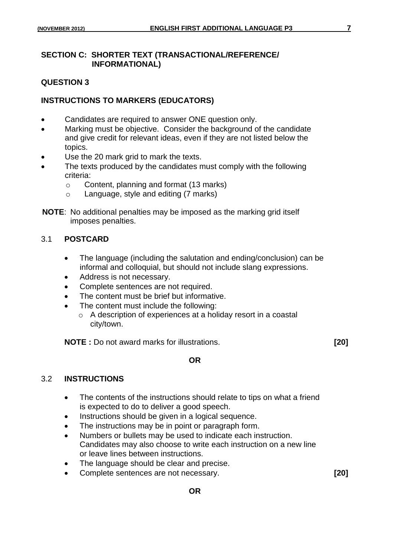# **SECTION C: SHORTER TEXT (TRANSACTIONAL/REFERENCE/ INFORMATIONAL)**

# **QUESTION 3**

# **INSTRUCTIONS TO MARKERS (EDUCATORS)**

- Candidates are required to answer ONE question only.
- Marking must be objective. Consider the background of the candidate and give credit for relevant ideas, even if they are not listed below the topics.
- Use the 20 mark grid to mark the texts.
- The texts produced by the candidates must comply with the following criteria:
	- o Content, planning and format (13 marks)
	- o Language, style and editing (7 marks)
- **NOTE**: No additional penalties may be imposed as the marking grid itself imposes penalties.

### 3.1 **POSTCARD**

- The language (including the salutation and ending/conclusion) can be informal and colloquial, but should not include slang expressions.
- Address is not necessary.
- Complete sentences are not required.
- The content must be brief but informative.
- The content must include the following:
	- o A description of experiences at a holiday resort in a coastal city/town.

**NOTE :** Do not award marks for illustrations. **[20]**

### **OR**

### 3.2 **INSTRUCTIONS**

- The contents of the instructions should relate to tips on what a friend is expected to do to deliver a good speech.
- Instructions should be given in a logical sequence.
- The instructions may be in point or paragraph form.
- Numbers or bullets may be used to indicate each instruction. Candidates may also choose to write each instruction on a new line or leave lines between instructions.
- The language should be clear and precise.
- Complete sentences are not necessary. **[20]**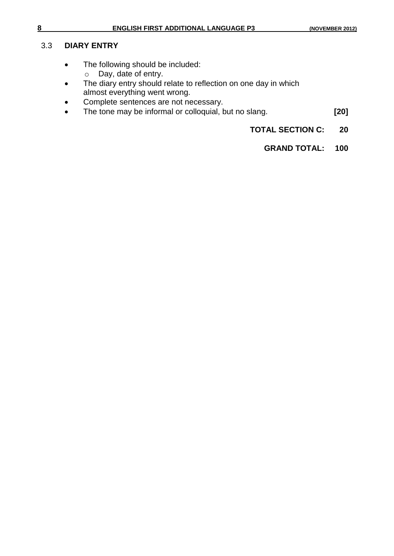#### 3.3 **DIARY ENTRY**

- The following should be included:
	- o Day, date of entry.
- The diary entry should relate to reflection on one day in which almost everything went wrong.
- Complete sentences are not necessary.
- The tone may be informal or colloquial, but no slang. **[20]**
	- **TOTAL SECTION C: 20**
		- **GRAND TOTAL: 100**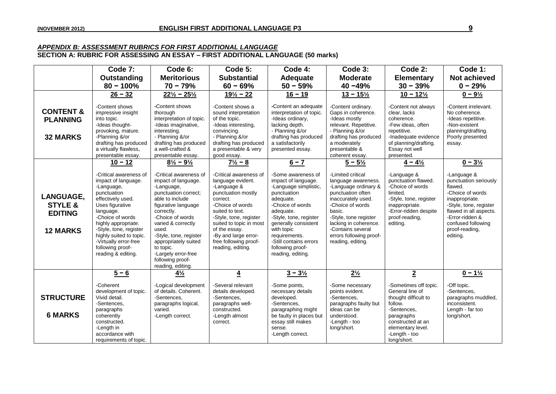#### *APPENDIX B: ASSESSMENT RUBRICS FOR FIRST ADDITIONAL LANGUAGE* **SECTION A: RUBRIC FOR ASSESSING AN ESSAY – FIRST ADDITIONAL LANGUAGE (50 marks)**

|                                                                             | Code 7:<br>Outstanding<br>$80 - 100%$                                                                                                                                                                                                                                                                           | Code 6:<br><b>Meritorious</b><br>$70 - 79%$                                                                                                                                                                                                                                                                                                                    | Code 5:<br><b>Substantial</b><br>$60 - 69%$                                                                                                                                                                                                                                                           | Code 4:<br>Adequate<br>$50 - 59%$                                                                                                                                                                                                                                                              | Code 3:<br><b>Moderate</b><br>$40 - 49%$                                                                                                                                                                                                                                               | Code 2:<br><b>Elementary</b><br>$30 - 39%$                                                                                                                                                     | Code 1:<br><b>Not achieved</b><br>$0 - 29%$                                                                                                                                                                                            |
|-----------------------------------------------------------------------------|-----------------------------------------------------------------------------------------------------------------------------------------------------------------------------------------------------------------------------------------------------------------------------------------------------------------|----------------------------------------------------------------------------------------------------------------------------------------------------------------------------------------------------------------------------------------------------------------------------------------------------------------------------------------------------------------|-------------------------------------------------------------------------------------------------------------------------------------------------------------------------------------------------------------------------------------------------------------------------------------------------------|------------------------------------------------------------------------------------------------------------------------------------------------------------------------------------------------------------------------------------------------------------------------------------------------|----------------------------------------------------------------------------------------------------------------------------------------------------------------------------------------------------------------------------------------------------------------------------------------|------------------------------------------------------------------------------------------------------------------------------------------------------------------------------------------------|----------------------------------------------------------------------------------------------------------------------------------------------------------------------------------------------------------------------------------------|
| <b>CONTENT &amp;</b><br><b>PLANNING</b><br><b>32 MARKS</b>                  | $26 - 32$<br>-Content shows<br>impressive insight<br>into topic.<br>-Ideas thought-<br>provoking, mature.<br>-Planning &/or<br>drafting has produced<br>a virtually flawless,<br>presentable essay.                                                                                                             | $22\frac{1}{2} - 25\frac{1}{2}$<br>-Content shows<br>thorough<br>interpretation of topic.<br>-Ideas imaginative,<br>interesting.<br>- Planning &/or<br>drafting has produced<br>a well-crafted &<br>presentable essay.                                                                                                                                         | $19\frac{1}{2} - 22$<br>-Content shows a<br>sound interpretation<br>of the topic.<br>-Ideas interesting,<br>convincing.<br>- Planning &/or<br>drafting has produced<br>a presentable & very<br>good essay.                                                                                            | $16 - 19$<br>-Content an adequate<br>interpretation of topic.<br>-Ideas ordinary,<br>lacking depth.<br>- Planning &/or<br>drafting has produced<br>a satisfactorily<br>presented essay.                                                                                                        | $13 - 15\frac{1}{2}$<br>-Content ordinary.<br>Gaps in coherence.<br>-Ideas mostly<br>relevant. Repetitive.<br>- Planning &/or<br>drafting has produced<br>a moderately<br>presentable &<br>coherent essay.                                                                             | $10 - 12\frac{1}{2}$<br>-Content not always<br>clear, lacks<br>coherence.<br>-Few ideas, often<br>repetitive.<br>-Inadequate evidence<br>of planning/drafting.<br>Essay not well<br>presented. | $0 - 9\frac{1}{2}$<br>-Content irrelevant.<br>No coherence.<br>-Ideas repetitive.<br>-Non-existent<br>planning/drafting.<br>Poorly presented<br>essay.                                                                                 |
| <b>LANGUAGE.</b><br><b>STYLE &amp;</b><br><b>EDITING</b><br><b>12 MARKS</b> | $10 - 12$<br>-Critical awareness of<br>impact of language.<br>-Language,<br>punctuation<br>effectively used.<br>Uses figurative<br>language.<br>-Choice of words<br>highly appropriate.<br>-Style, tone, register<br>highly suited to topic.<br>-Virtually error-free<br>following proof-<br>reading & editing. | $8\frac{1}{2} - 9\frac{1}{2}$<br>-Critical awareness of<br>impact of language.<br>-Language,<br>punctuation correct;<br>able to include<br>figurative language<br>correctly.<br>-Choice of words<br>varied & correctly<br>used.<br>-Style, tone, register<br>appropriately suited<br>to topic.<br>-Largely error-free<br>following proof-<br>reading, editing. | $7\frac{1}{2} - 8$<br>-Critical awareness of<br>language evident.<br>-Language &<br>punctuation mostly<br>correct.<br>-Choice of words<br>suited to text.<br>-Style, tone, register<br>suited to topic in most<br>of the essay.<br>-By and large error-<br>free following proof-<br>reading, editing. | $6 - 7$<br>-Some awareness of<br>impact of language.<br>-Language simplistic,<br>punctuation<br>adequate.<br>-Choice of words<br>adequate.<br>-Style, tone, register<br>generally consistent<br>with topic<br>requirements.<br>-Still contains errors<br>following proof-<br>reading, editing. | $5 - 5\frac{1}{2}$<br>-Limited critical<br>language awareness.<br>-Language ordinary &<br>punctuation often<br>inaccurately used.<br>-Choice of words<br>basic.<br>-Style, tone register<br>lacking in coherence.<br>-Contains several<br>errors following proof-<br>reading, editing. | $4 - 4\frac{1}{2}$<br>-Language &<br>punctuation flawed.<br>-Choice of words<br>limited.<br>-Style, tone, register<br>inappropriate.<br>-Error-ridden despite<br>proof-reading,<br>editing.    | $0 - 3\frac{1}{2}$<br>-Language &<br>punctuation seriously<br>flawed.<br>-Choice of words<br>inappropriate.<br>-Style, tone, register<br>flawed in all aspects.<br>-Error-ridden &<br>confused following<br>proof-reading,<br>editing. |
| <b>STRUCTURE</b>                                                            | $5 - 6$<br>-Coherent<br>development of topic.<br>Vivid detail.                                                                                                                                                                                                                                                  | $4\frac{1}{2}$<br>-Logical development<br>of details. Coherent.<br>-Sentences.                                                                                                                                                                                                                                                                                 | $\overline{4}$<br>-Several relevant<br>details developed.<br>-Sentences.                                                                                                                                                                                                                              | $3 - 3\frac{1}{2}$<br>-Some points,<br>necessary details<br>developed.                                                                                                                                                                                                                         | $2\frac{1}{2}$<br>-Some necessary<br>points evident.<br>-Sentences.                                                                                                                                                                                                                    | $\overline{2}$<br>-Sometimes off topic.<br>General line of<br>thought difficult to                                                                                                             | $0 - 1\frac{1}{2}$<br>-Off topic.<br>-Sentences.<br>paragraphs muddled,                                                                                                                                                                |
| <b>6 MARKS</b>                                                              | -Sentences,<br>paragraphs<br>coherently<br>constructed.<br>-Length in<br>accordance with<br>requirements of topic.                                                                                                                                                                                              | paragraphs logical,<br>varied.<br>-Length correct.                                                                                                                                                                                                                                                                                                             | paragraphs well-<br>constructed.<br>-Length almost<br>correct.                                                                                                                                                                                                                                        | -Sentences,<br>paragraphing might<br>be faulty in places but<br>essay still makes<br>sense.<br>-Length correct.                                                                                                                                                                                | paragraphs faulty but<br>ideas can be<br>understood.<br>-Length - too<br>long/short.                                                                                                                                                                                                   | follow.<br>-Sentences,<br>paragraphs<br>constructed at an<br>elementary level.<br>-Length - too<br>long/short.                                                                                 | inconsistent.<br>Length - far too<br>long/short.                                                                                                                                                                                       |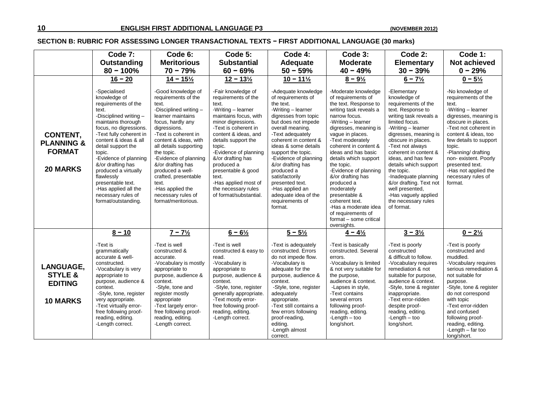#### **SECTION B: RUBRIC FOR ASSESSING LONGER TRANSACTIONAL TEXTS − FIRST ADDITIONAL LANGUAGE (30 marks)**

|                                                                             | Code 7:                                                                                                                                                                                                                                                                                                                                                                                                 | Code 6:                                                                                                                                                                                                                                                                                                                                                                                             | Code 5:                                                                                                                                                                                                                                                                                                                                                                      | Code 4:                                                                                                                                                                                                                                                                                                                                                                                                              | Code 3:                                                                                                                                                                                                                                                                                                                                                                                                                                                                                         | Code 2:                                                                                                                                                                                                                                                                                                                                                                                                                               | Code 1:                                                                                                                                                                                                                                                                                                                               |
|-----------------------------------------------------------------------------|---------------------------------------------------------------------------------------------------------------------------------------------------------------------------------------------------------------------------------------------------------------------------------------------------------------------------------------------------------------------------------------------------------|-----------------------------------------------------------------------------------------------------------------------------------------------------------------------------------------------------------------------------------------------------------------------------------------------------------------------------------------------------------------------------------------------------|------------------------------------------------------------------------------------------------------------------------------------------------------------------------------------------------------------------------------------------------------------------------------------------------------------------------------------------------------------------------------|----------------------------------------------------------------------------------------------------------------------------------------------------------------------------------------------------------------------------------------------------------------------------------------------------------------------------------------------------------------------------------------------------------------------|-------------------------------------------------------------------------------------------------------------------------------------------------------------------------------------------------------------------------------------------------------------------------------------------------------------------------------------------------------------------------------------------------------------------------------------------------------------------------------------------------|---------------------------------------------------------------------------------------------------------------------------------------------------------------------------------------------------------------------------------------------------------------------------------------------------------------------------------------------------------------------------------------------------------------------------------------|---------------------------------------------------------------------------------------------------------------------------------------------------------------------------------------------------------------------------------------------------------------------------------------------------------------------------------------|
|                                                                             | Outstanding<br>$80 - 100%$                                                                                                                                                                                                                                                                                                                                                                              | <b>Meritorious</b><br>$70 - 79%$                                                                                                                                                                                                                                                                                                                                                                    | <b>Substantial</b><br>$60 - 69%$                                                                                                                                                                                                                                                                                                                                             | Adequate<br>$50 - 59%$                                                                                                                                                                                                                                                                                                                                                                                               | <b>Moderate</b><br>$40 - 49%$                                                                                                                                                                                                                                                                                                                                                                                                                                                                   | <b>Elementary</b><br>$30 - 39%$                                                                                                                                                                                                                                                                                                                                                                                                       | <b>Not achieved</b><br>$0 - 29%$                                                                                                                                                                                                                                                                                                      |
|                                                                             | $16 - 20$                                                                                                                                                                                                                                                                                                                                                                                               | $14 - 15\frac{1}{2}$                                                                                                                                                                                                                                                                                                                                                                                | $12 - 13\frac{1}{2}$                                                                                                                                                                                                                                                                                                                                                         | $10 - 11\frac{1}{2}$                                                                                                                                                                                                                                                                                                                                                                                                 | $8 - 9\frac{1}{2}$                                                                                                                                                                                                                                                                                                                                                                                                                                                                              | $6 - 7\frac{1}{2}$                                                                                                                                                                                                                                                                                                                                                                                                                    | $0 - 5\frac{1}{2}$                                                                                                                                                                                                                                                                                                                    |
| CONTENT,<br><b>PLANNING &amp;</b><br><b>FORMAT</b><br><b>20 MARKS</b>       | -Specialised<br>knowledge of<br>requirements of the<br>text.<br>-Disciplined writing-<br>maintains thorough<br>focus, no digressions.<br>-Text fully coherent in<br>content & ideas & all<br>detail support the<br>topic.<br>-Evidence of planning<br>&/or drafting has<br>produced a virtually<br>flawlessly<br>presentable text.<br>-Has applied all the<br>necessary rules of<br>format/outstanding. | -Good knowledge of<br>requirements of the<br>text.<br>-Disciplined writing -<br>learner maintains<br>focus, hardly any<br>digressions.<br>-Text is coherent in<br>content & ideas, with<br>all details supporting<br>the topic.<br>-Evidence of planning<br>&/or drafting has<br>produced a well-<br>crafted, presentable<br>text.<br>-Has applied the<br>necessary rules of<br>format/meritorious. | -Fair knowledge of<br>requirements of the<br>text.<br>-Writing - learner<br>maintains focus, with<br>minor digressions.<br>-Text is coherent in<br>content & ideas, and<br>details support the<br>topic.<br>-Evidence of planning<br>&/or drafting has<br>produced a<br>presentable & good<br>text.<br>-Has applied most of<br>the necessary rules<br>of format/substantial. | -Adequate knowledge<br>of requirements of<br>the text.<br>-Writing - learner<br>digresses from topic<br>but does not impede<br>overall meaning.<br>-Text adequately<br>coherent in content &<br>ideas & some details<br>support the topic.<br>-Evidence of planning<br>&/or drafting has<br>produced a<br>satisfactorily<br>presented text.<br>-Has applied an<br>adequate idea of the<br>requirements of<br>format. | -Moderate knowledge<br>of requirements of<br>the text. Response to<br>writing task reveals a<br>narrow focus.<br>-Writing - learner<br>digresses, meaning is<br>vague in places.<br>-Text moderately<br>coherent in content &<br>ideas and has basic<br>details which support<br>the topic.<br>-Evidence of planning<br>&/or drafting has<br>produced a<br>moderately<br>presentable &<br>coherent text.<br>-Has a moderate idea<br>of requirements of<br>format - some critical<br>oversights. | -Elementary<br>knowledge of<br>requirements of the<br>text. Response to<br>writing task reveals a<br>limited focus.<br>-Writing - learner<br>digresses, meaning is<br>obscure in places.<br>-Text not always<br>coherent in content &<br>ideas, and has few<br>details which support<br>the topic.<br>-Inadequate planning<br>&/or drafting. Text not<br>well presented,<br>-Has vaguely applied<br>the necessary rules<br>of format. | -No knowledge of<br>requirements of the<br>text.<br>-Writing - learner<br>digresses, meaning is<br>obscure in places.<br>-Text not coherent in<br>content & ideas, too<br>few details to support<br>topic.<br>-Planning/ drafting<br>non-existent. Poorly<br>presented text.<br>-Has not applied the<br>necessary rules of<br>format. |
|                                                                             | $8 - 10$                                                                                                                                                                                                                                                                                                                                                                                                | $7 - 7\frac{1}{2}$                                                                                                                                                                                                                                                                                                                                                                                  | $6 - 6\frac{1}{2}$                                                                                                                                                                                                                                                                                                                                                           | $5 - 5\frac{1}{2}$                                                                                                                                                                                                                                                                                                                                                                                                   | $4 - 4\frac{1}{2}$                                                                                                                                                                                                                                                                                                                                                                                                                                                                              | $3 - 3\frac{1}{2}$                                                                                                                                                                                                                                                                                                                                                                                                                    | $0 - 2\frac{1}{2}$                                                                                                                                                                                                                                                                                                                    |
| <b>LANGUAGE,</b><br><b>STYLE &amp;</b><br><b>EDITING</b><br><b>10 MARKS</b> | -Text is<br>grammatically<br>accurate & well-<br>constructed.<br>-Vocabulary is very<br>appropriate to<br>purpose, audience &<br>context.<br>-Style, tone, register<br>very appropriate.<br>-Text virtually error-<br>free following proof-<br>reading, editing.<br>-Length correct.                                                                                                                    | -Text is well<br>constructed &<br>accurate.<br>-Vocabulary is mostly<br>appropriate to<br>purpose, audience &<br>context.<br>-Style, tone and<br>register mostly<br>appropriate<br>-Text largely error-<br>free following proof-<br>reading, editing.<br>-Length correct.                                                                                                                           | -Text is well<br>constructed & easy to<br>read.<br>-Vocabulary is<br>appropriate to<br>purpose, audience &<br>context.<br>-Style, tone, register<br>generally appropriate.<br>-Text mostly error-<br>free following proof-<br>reading, editing.<br>-Length correct.                                                                                                          | -Text is adequately<br>constructed. Errors<br>do not impede flow.<br>-Vocabulary is<br>adequate for the<br>purpose, audience &<br>context.<br>-Style, tone, register<br>adequately<br>appropriate.<br>-Text still contains a<br>few errors following<br>proof-reading,<br>editing.<br>-Length almost<br>correct.                                                                                                     | -Text is basically<br>constructed. Several<br>errors.<br>-Vocabulary is limited<br>& not very suitable for<br>the purpose,<br>audience & context.<br>-Lapses in style,<br>-Text contains<br>several errors<br>following proof-<br>reading, editing.<br>-Length $-$ too<br>long/short.                                                                                                                                                                                                           | -Text is poorly<br>constructed<br>& difficult to follow.<br>-Vocabulary requires<br>remediation & not<br>suitable for purpose,<br>audience & context.<br>-Style, tone & register<br>inappropriate.<br>-Text error-ridden<br>despite proof-<br>reading, editing.<br>$-L$ ength $-$ too<br>long/short.                                                                                                                                  | -Text is poorly<br>constructed and<br>muddled.<br>-Vocabulary requires<br>serious remediation &<br>not suitable for<br>purpose.<br>-Style, tone & register<br>do not correspond<br>with topic<br>-Text error-ridden<br>and confused<br>following proof-<br>reading, editing.<br>-Length $-$ far too<br>long/short.                    |